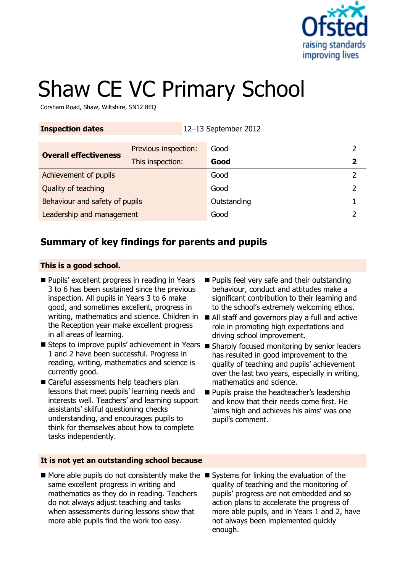

# Shaw CE VC Primary School

Corsham Road, Shaw, Wiltshire, SN12 8EQ

| <b>Inspection dates</b>        |                      | 12-13 September 2012 |  |
|--------------------------------|----------------------|----------------------|--|
| <b>Overall effectiveness</b>   | Previous inspection: | Good                 |  |
|                                | This inspection:     | Good                 |  |
| Achievement of pupils          |                      | Good                 |  |
| Quality of teaching            |                      | Good                 |  |
| Behaviour and safety of pupils |                      | Outstanding          |  |
| Leadership and management      |                      | Good                 |  |

## **Summary of key findings for parents and pupils**

#### **This is a good school.**

- **Pupils' excellent progress in reading in Years** 3 to 6 has been sustained since the previous inspection. All pupils in Years 3 to 6 make good, and sometimes excellent, progress in the Reception year make excellent progress in all areas of learning.
- Steps to improve pupils' achievement in Years Sharply focused monitoring by senior leaders 1 and 2 have been successful. Progress in reading, writing, mathematics and science is currently good.
- Careful assessments help teachers plan lessons that meet pupils' learning needs and interests well. Teachers' and learning support assistants' skilful questioning checks understanding, and encourages pupils to think for themselves about how to complete tasks independently.
- **It is not yet an outstanding school because**
- $\blacksquare$  More able pupils do not consistently make the  $\blacksquare$  Systems for linking the evaluation of the same excellent progress in writing and mathematics as they do in reading. Teachers do not always adjust teaching and tasks when assessments during lessons show that more able pupils find the work too easy.
- **Pupils feel very safe and their outstanding** behaviour, conduct and attitudes make a significant contribution to their learning and to the school's extremely welcoming ethos.
- writing, mathematics and science. Children in  $\blacksquare$  All staff and governors play a full and active role in promoting high expectations and driving school improvement.
	- has resulted in good improvement to the quality of teaching and pupils' achievement over the last two years, especially in writing, mathematics and science.
	- **Pupils praise the headteacher's leadership** and know that their needs come first. He 'aims high and achieves his aims' was one pupil's comment.
	- quality of teaching and the monitoring of pupils' progress are not embedded and so action plans to accelerate the progress of more able pupils, and in Years 1 and 2, have not always been implemented quickly enough.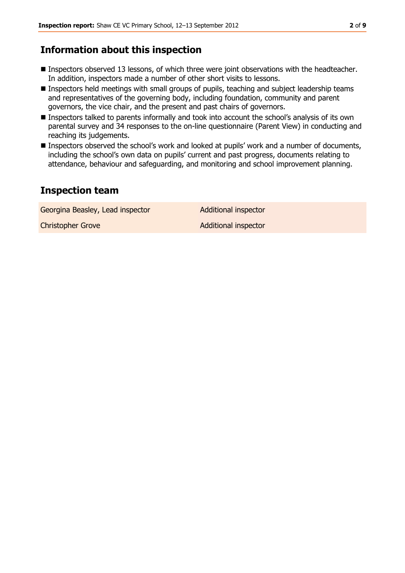## **Information about this inspection**

- **Inspectors observed 13 lessons, of which three were joint observations with the headteacher.** In addition, inspectors made a number of other short visits to lessons.
- Inspectors held meetings with small groups of pupils, teaching and subject leadership teams and representatives of the governing body, including foundation, community and parent governors, the vice chair, and the present and past chairs of governors.
- Inspectors talked to parents informally and took into account the school's analysis of its own parental survey and 34 responses to the on-line questionnaire (Parent View) in conducting and reaching its judgements.
- Inspectors observed the school's work and looked at pupils' work and a number of documents, including the school's own data on pupils' current and past progress, documents relating to attendance, behaviour and safeguarding, and monitoring and school improvement planning.

### **Inspection team**

Georgina Beasley, Lead inspector **Additional inspector** 

Christopher Grove Additional inspector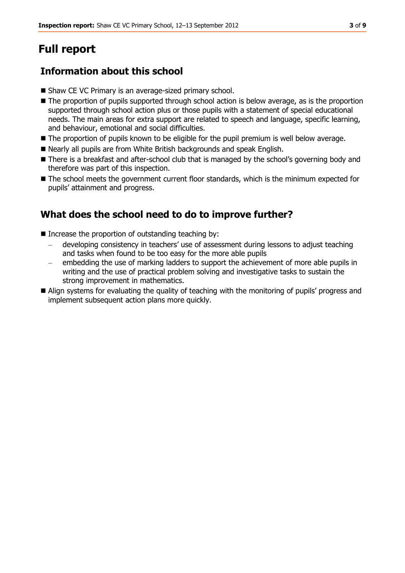## **Full report**

## **Information about this school**

- Shaw CE VC Primary is an average-sized primary school.
- The proportion of pupils supported through school action is below average, as is the proportion supported through school action plus or those pupils with a statement of special educational needs. The main areas for extra support are related to speech and language, specific learning, and behaviour, emotional and social difficulties.
- $\blacksquare$  The proportion of pupils known to be eligible for the pupil premium is well below average.
- Nearly all pupils are from White British backgrounds and speak English.
- There is a breakfast and after-school club that is managed by the school's governing body and therefore was part of this inspection.
- The school meets the government current floor standards, which is the minimum expected for pupils' attainment and progress.

## **What does the school need to do to improve further?**

- $\blacksquare$  Increase the proportion of outstanding teaching by:
	- developing consistency in teachers' use of assessment during lessons to adjust teaching and tasks when found to be too easy for the more able pupils
	- embedding the use of marking ladders to support the achievement of more able pupils in writing and the use of practical problem solving and investigative tasks to sustain the strong improvement in mathematics.
- Align systems for evaluating the quality of teaching with the monitoring of pupils' progress and implement subsequent action plans more quickly.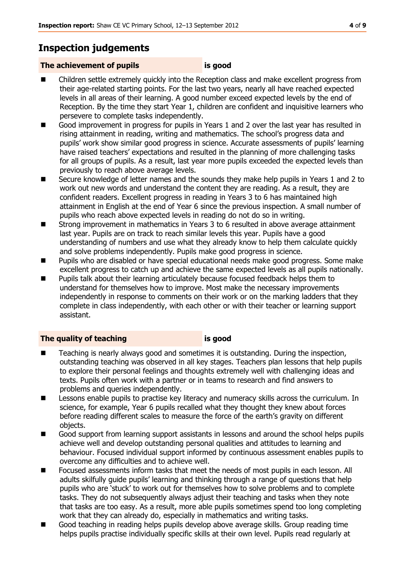## **Inspection judgements**

#### **The achievement of pupils is good**

- Children settle extremely quickly into the Reception class and make excellent progress from their age-related starting points. For the last two years, nearly all have reached expected levels in all areas of their learning. A good number exceed expected levels by the end of Reception. By the time they start Year 1, children are confident and inquisitive learners who persevere to complete tasks independently.
- Good improvement in progress for pupils in Years 1 and 2 over the last year has resulted in rising attainment in reading, writing and mathematics. The school's progress data and pupils' work show similar good progress in science. Accurate assessments of pupils' learning have raised teachers' expectations and resulted in the planning of more challenging tasks for all groups of pupils. As a result, last year more pupils exceeded the expected levels than previously to reach above average levels.
- Secure knowledge of letter names and the sounds they make help pupils in Years 1 and 2 to work out new words and understand the content they are reading. As a result, they are confident readers. Excellent progress in reading in Years 3 to 6 has maintained high attainment in English at the end of Year 6 since the previous inspection. A small number of pupils who reach above expected levels in reading do not do so in writing.
- Strong improvement in mathematics in Years 3 to 6 resulted in above average attainment last year. Pupils are on track to reach similar levels this year. Pupils have a good understanding of numbers and use what they already know to help them calculate quickly and solve problems independently. Pupils make good progress in science.
- **Pupils who are disabled or have special educational needs make good progress. Some make** excellent progress to catch up and achieve the same expected levels as all pupils nationally.
- **Pupils talk about their learning articulately because focused feedback helps them to** understand for themselves how to improve. Most make the necessary improvements independently in response to comments on their work or on the marking ladders that they complete in class independently, with each other or with their teacher or learning support assistant.

#### **The quality of teaching is good**

- Teaching is nearly always good and sometimes it is outstanding. During the inspection, outstanding teaching was observed in all key stages. Teachers plan lessons that help pupils to explore their personal feelings and thoughts extremely well with challenging ideas and texts. Pupils often work with a partner or in teams to research and find answers to problems and queries independently.
- **EXECT** Lessons enable pupils to practise key literacy and numeracy skills across the curriculum. In science, for example, Year 6 pupils recalled what they thought they knew about forces before reading different scales to measure the force of the earth's gravity on different objects.
- Good support from learning support assistants in lessons and around the school helps pupils achieve well and develop outstanding personal qualities and attitudes to learning and behaviour. Focused individual support informed by continuous assessment enables pupils to overcome any difficulties and to achieve well.
- Focused assessments inform tasks that meet the needs of most pupils in each lesson. All adults skilfully guide pupils' learning and thinking through a range of questions that help pupils who are 'stuck' to work out for themselves how to solve problems and to complete tasks. They do not subsequently always adjust their teaching and tasks when they note that tasks are too easy. As a result, more able pupils sometimes spend too long completing work that they can already do, especially in mathematics and writing tasks.
- Good teaching in reading helps pupils develop above average skills. Group reading time helps pupils practise individually specific skills at their own level. Pupils read regularly at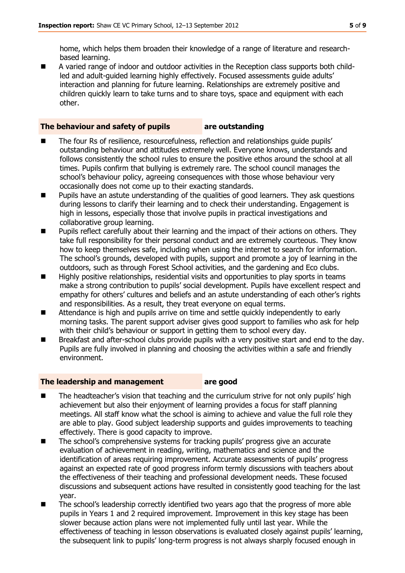home, which helps them broaden their knowledge of a range of literature and researchbased learning.

 A varied range of indoor and outdoor activities in the Reception class supports both childled and adult-guided learning highly effectively. Focused assessments guide adults' interaction and planning for future learning. Relationships are extremely positive and children quickly learn to take turns and to share toys, space and equipment with each other.

#### **The behaviour and safety of pupils are outstanding**

- The four Rs of resilience, resourcefulness, reflection and relationships guide pupils' outstanding behaviour and attitudes extremely well. Everyone knows, understands and follows consistently the school rules to ensure the positive ethos around the school at all times. Pupils confirm that bullying is extremely rare. The school council manages the school's behaviour policy, agreeing consequences with those whose behaviour very occasionally does not come up to their exacting standards.
- **Pupils have an astute understanding of the qualities of good learners. They ask questions** during lessons to clarify their learning and to check their understanding. Engagement is high in lessons, especially those that involve pupils in practical investigations and collaborative group learning.
- Pupils reflect carefully about their learning and the impact of their actions on others. They take full responsibility for their personal conduct and are extremely courteous. They know how to keep themselves safe, including when using the internet to search for information. The school's grounds, developed with pupils, support and promote a joy of learning in the outdoors, such as through Forest School activities, and the gardening and Eco clubs.
- $\blacksquare$  Highly positive relationships, residential visits and opportunities to play sports in teams make a strong contribution to pupils' social development. Pupils have excellent respect and empathy for others' cultures and beliefs and an astute understanding of each other's rights and responsibilities. As a result, they treat everyone on equal terms.
- Attendance is high and pupils arrive on time and settle quickly independently to early morning tasks. The parent support adviser gives good support to families who ask for help with their child's behaviour or support in getting them to school every day.
- Breakfast and after-school clubs provide pupils with a very positive start and end to the day. Pupils are fully involved in planning and choosing the activities within a safe and friendly environment.

#### **The leadership and management are good**

- The headteacher's vision that teaching and the curriculum strive for not only pupils' high achievement but also their enjoyment of learning provides a focus for staff planning meetings. All staff know what the school is aiming to achieve and value the full role they are able to play. Good subject leadership supports and guides improvements to teaching effectively. There is good capacity to improve.
- The school's comprehensive systems for tracking pupils' progress give an accurate evaluation of achievement in reading, writing, mathematics and science and the identification of areas requiring improvement. Accurate assessments of pupils' progress against an expected rate of good progress inform termly discussions with teachers about the effectiveness of their teaching and professional development needs. These focused discussions and subsequent actions have resulted in consistently good teaching for the last year.
- The school's leadership correctly identified two years ago that the progress of more able pupils in Years 1 and 2 required improvement. Improvement in this key stage has been slower because action plans were not implemented fully until last year. While the effectiveness of teaching in lesson observations is evaluated closely against pupils' learning, the subsequent link to pupils' long-term progress is not always sharply focused enough in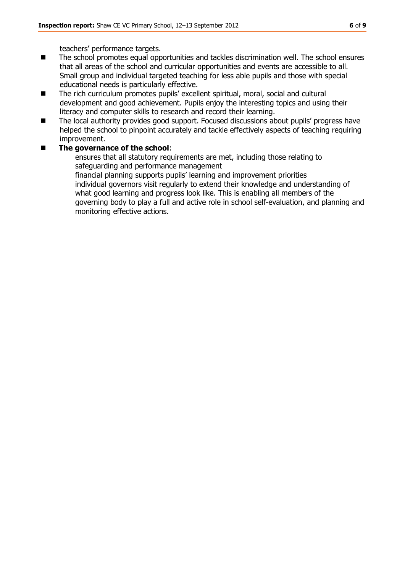teachers' performance targets.

- The school promotes equal opportunities and tackles discrimination well. The school ensures that all areas of the school and curricular opportunities and events are accessible to all. Small group and individual targeted teaching for less able pupils and those with special educational needs is particularly effective.
- The rich curriculum promotes pupils' excellent spiritual, moral, social and cultural development and good achievement. Pupils enjoy the interesting topics and using their literacy and computer skills to research and record their learning.
- The local authority provides good support. Focused discussions about pupils' progress have helped the school to pinpoint accurately and tackle effectively aspects of teaching requiring improvement.

#### **The governance of the school**:

ensures that all statutory requirements are met, including those relating to safeguarding and performance management financial planning supports pupils' learning and improvement priorities individual governors visit regularly to extend their knowledge and understanding of what good learning and progress look like. This is enabling all members of the governing body to play a full and active role in school self-evaluation, and planning and monitoring effective actions.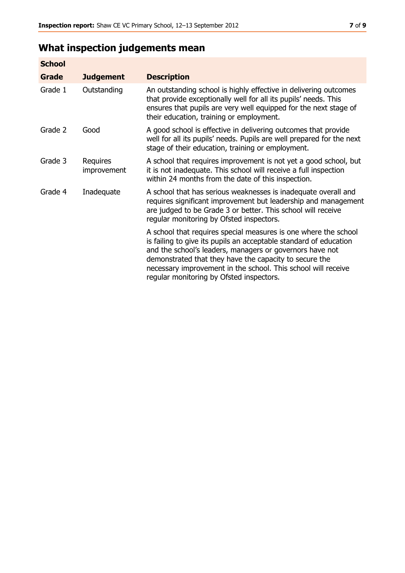# **What inspection judgements mean**

| <b>School</b> |                         |                                                                                                                                                                                                                                                                                                                                                                         |
|---------------|-------------------------|-------------------------------------------------------------------------------------------------------------------------------------------------------------------------------------------------------------------------------------------------------------------------------------------------------------------------------------------------------------------------|
| Grade         | <b>Judgement</b>        | <b>Description</b>                                                                                                                                                                                                                                                                                                                                                      |
| Grade 1       | Outstanding             | An outstanding school is highly effective in delivering outcomes<br>that provide exceptionally well for all its pupils' needs. This<br>ensures that pupils are very well equipped for the next stage of<br>their education, training or employment.                                                                                                                     |
| Grade 2       | Good                    | A good school is effective in delivering outcomes that provide<br>well for all its pupils' needs. Pupils are well prepared for the next<br>stage of their education, training or employment.                                                                                                                                                                            |
| Grade 3       | Requires<br>improvement | A school that requires improvement is not yet a good school, but<br>it is not inadequate. This school will receive a full inspection<br>within 24 months from the date of this inspection.                                                                                                                                                                              |
| Grade 4       | Inadequate              | A school that has serious weaknesses is inadequate overall and<br>requires significant improvement but leadership and management<br>are judged to be Grade 3 or better. This school will receive<br>regular monitoring by Ofsted inspectors.                                                                                                                            |
|               |                         | A school that requires special measures is one where the school<br>is failing to give its pupils an acceptable standard of education<br>and the school's leaders, managers or governors have not<br>demonstrated that they have the capacity to secure the<br>necessary improvement in the school. This school will receive<br>regular monitoring by Ofsted inspectors. |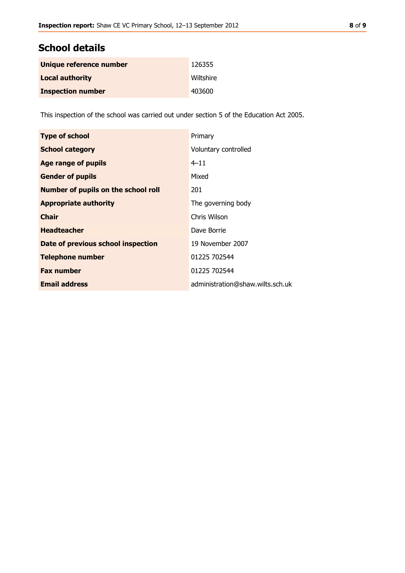| Unique reference number  | 126355    |
|--------------------------|-----------|
| <b>Local authority</b>   | Wiltshire |
| <b>Inspection number</b> | 403600    |

This inspection of the school was carried out under section 5 of the Education Act 2005.

| <b>Type of school</b>                      | Primary                          |
|--------------------------------------------|----------------------------------|
| <b>School category</b>                     | Voluntary controlled             |
| Age range of pupils                        | $4 - 11$                         |
| <b>Gender of pupils</b>                    | Mixed                            |
| <b>Number of pupils on the school roll</b> | 201                              |
| <b>Appropriate authority</b>               | The governing body               |
| <b>Chair</b>                               | Chris Wilson                     |
| <b>Headteacher</b>                         | Dave Borrie                      |
| Date of previous school inspection         | 19 November 2007                 |
| <b>Telephone number</b>                    | 01225 702544                     |
| <b>Fax number</b>                          | 01225 702544                     |
| <b>Email address</b>                       | administration@shaw.wilts.sch.uk |